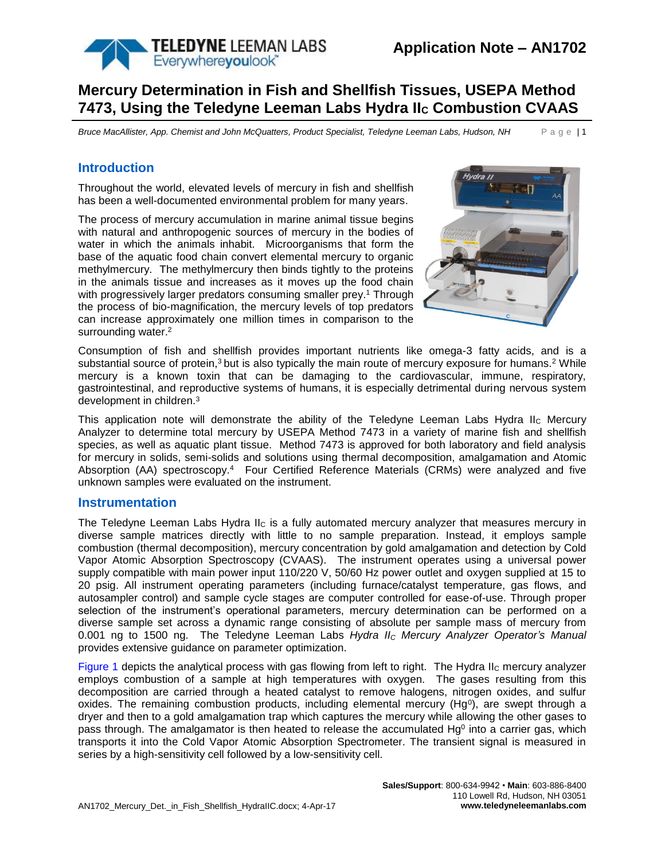

# **Mercury Determination in Fish and Shellfish Tissues, USEPA Method 7473, Using the Teledyne Leeman Labs Hydra II<sup>C</sup> Combustion CVAAS**

*Bruce MacAllister, App. Chemist and John McQuatters, Product Specialist, Teledyne Leeman Labs, Hudson, NH* P a g e | 1

## **Introduction**

Throughout the world, elevated levels of mercury in fish and shellfish has been a well-documented environmental problem for many years.

The process of mercury accumulation in marine animal tissue begins with natural and anthropogenic sources of mercury in the bodies of water in which the animals inhabit. Microorganisms that form the base of the aquatic food chain convert elemental mercury to organic methylmercury. The methylmercury then binds tightly to the proteins in the animals tissue and increases as it moves up the food chain with progressively larger predators consuming smaller prey.<sup>1</sup> Through the process of bio-magnification, the mercury levels of top predators can increase approximately one million times in comparison to the surrounding water.<sup>2</sup>



Consumption of fish and shellfish provides important nutrients like omega-3 fatty acids, and is a substantial source of protein,<sup>3</sup> but is also typically the main route of mercury exposure for humans.<sup>2</sup> While mercury is a known toxin that can be damaging to the cardiovascular, immune, respiratory, gastrointestinal, and reproductive systems of humans, it is especially detrimental during nervous system development in children.<sup>3</sup>

This application note will demonstrate the ability of the Teledyne Leeman Labs Hydra II<sub>C</sub> Mercury Analyzer to determine total mercury by USEPA Method 7473 in a variety of marine fish and shellfish species, as well as aquatic plant tissue. Method 7473 is approved for both laboratory and field analysis for mercury in solids, semi-solids and solutions using thermal decomposition, amalgamation and Atomic Absorption (AA) spectroscopy.<sup>4</sup> Four Certified Reference Materials (CRMs) were analyzed and five unknown samples were evaluated on the instrument.

### **Instrumentation**

The Teledyne Leeman Labs Hydra  $II<sub>C</sub>$  is a fully automated mercury analyzer that measures mercury in diverse sample matrices directly with little to no sample preparation. Instead, it employs sample combustion (thermal decomposition), mercury concentration by gold amalgamation and detection by Cold Vapor Atomic Absorption Spectroscopy (CVAAS). The instrument operates using a universal power supply compatible with main power input 110/220 V, 50/60 Hz power outlet and oxygen supplied at 15 to 20 psig. All instrument operating parameters (including furnace/catalyst temperature, gas flows, and autosampler control) and sample cycle stages are computer controlled for ease-of-use. Through proper selection of the instrument's operational parameters, mercury determination can be performed on a diverse sample set across a dynamic range consisting of absolute per sample mass of mercury from 0.001 ng to 1500 ng. The Teledyne Leeman Labs *Hydra II<sup>C</sup> Mercury Analyzer Operator's Manual* provides extensive guidance on parameter optimization.

[Figure 1](#page-1-0) depicts the analytical process with gas flowing from left to right. The Hydra IIc mercury analyzer employs combustion of a sample at high temperatures with oxygen. The gases resulting from this decomposition are carried through a heated catalyst to remove halogens, nitrogen oxides, and sulfur oxides. The remaining combustion products, including elemental mercury (Hg<sup>o</sup>), are swept through a dryer and then to a gold amalgamation trap which captures the mercury while allowing the other gases to pass through. The amalgamator is then heated to release the accumulated Hg<sup>0</sup> into a carrier gas, which transports it into the Cold Vapor Atomic Absorption Spectrometer. The transient signal is measured in series by a high-sensitivity cell followed by a low-sensitivity cell.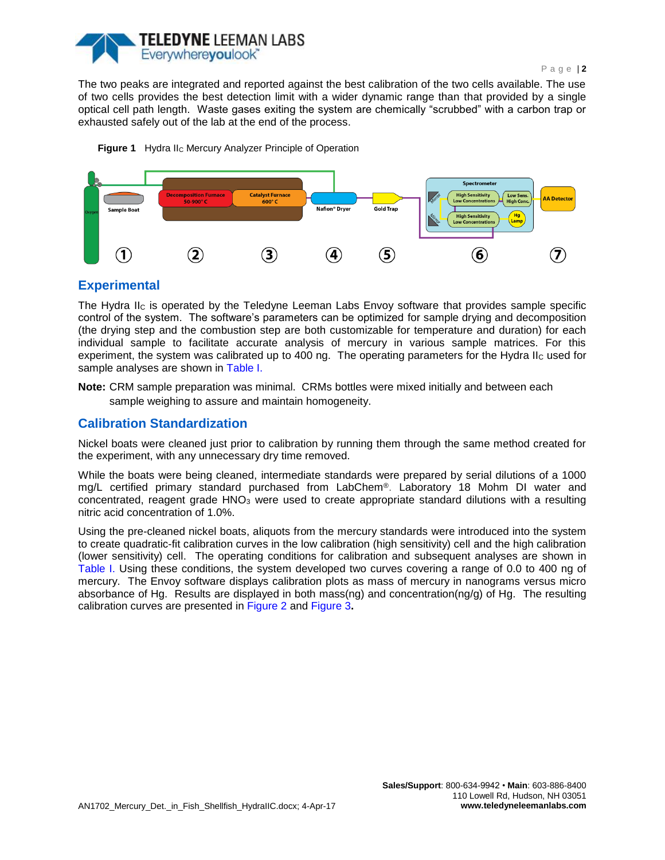

The two peaks are integrated and reported against the best calibration of the two cells available. The use of two cells provides the best detection limit with a wider dynamic range than that provided by a single optical cell path length. Waste gases exiting the system are chemically "scrubbed" with a carbon trap or exhausted safely out of the lab at the end of the process.

Figure 1 Hydra II<sub>C</sub> Mercury Analyzer Principle of Operation

<span id="page-1-0"></span>

# **Experimental**

The Hydra II<sup>C</sup> is operated by the Teledyne Leeman Labs Envoy software that provides sample specific control of the system. The software's parameters can be optimized for sample drying and decomposition (the drying step and the combustion step are both customizable for temperature and duration) for each individual sample to facilitate accurate analysis of mercury in various sample matrices. For this experiment, the system was calibrated up to 400 ng. The operating parameters for the Hydra II<sub>C</sub> used for sample analyses are shown in [Table I.](#page-2-0)

**Note:** CRM sample preparation was minimal. CRMs bottles were mixed initially and between each sample weighing to assure and maintain homogeneity.

# **Calibration Standardization**

Nickel boats were cleaned just prior to calibration by running them through the same method created for the experiment, with any unnecessary dry time removed.

While the boats were being cleaned, intermediate standards were prepared by serial dilutions of a 1000 mg/L certified primary standard purchased from LabChem®. Laboratory 18 Mohm DI water and concentrated, reagent grade HNO<sup>3</sup> were used to create appropriate standard dilutions with a resulting nitric acid concentration of 1.0%.

Using the pre-cleaned nickel boats, aliquots from the mercury standards were introduced into the system to create quadratic-fit calibration curves in the low calibration (high sensitivity) cell and the high calibration (lower sensitivity) cell. The operating conditions for calibration and subsequent analyses are shown in [Table I.](#page-2-0) Using these conditions, the system developed two curves covering a range of 0.0 to 400 ng of mercury. The Envoy software displays calibration plots as mass of mercury in nanograms versus micro absorbance of Hg. Results are displayed in both mass(ng) and concentration(ng/g) of Hg. The resulting calibration curves are presented in [Figure 2](#page-2-1) and [Figure 3](#page-3-0)**.**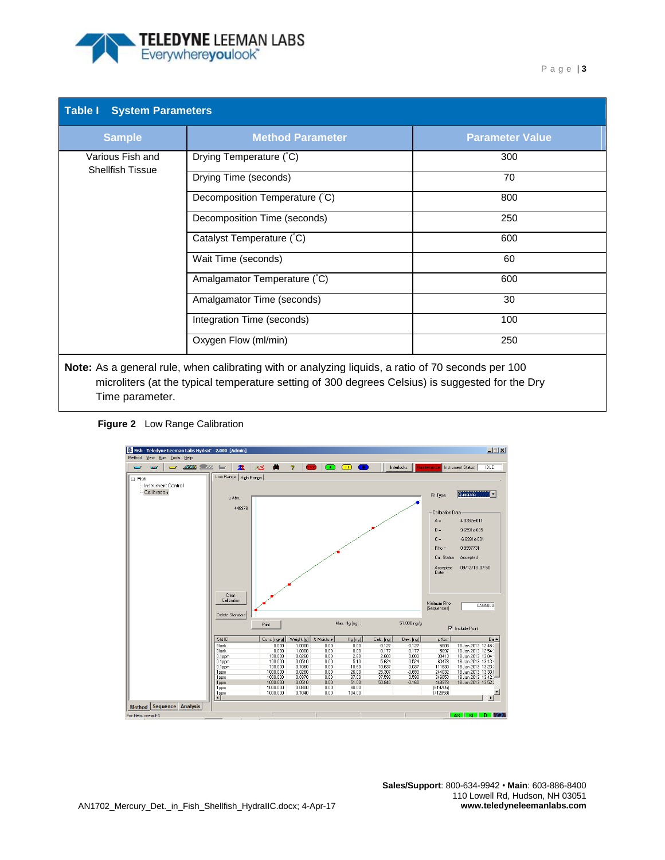<span id="page-2-1"></span>

<span id="page-2-0"></span>

| <b>Table I</b> System Parameters            |                                |                        |  |  |  |  |
|---------------------------------------------|--------------------------------|------------------------|--|--|--|--|
| <b>Sample</b>                               | <b>Method Parameter</b>        | <b>Parameter Value</b> |  |  |  |  |
| Various Fish and<br><b>Shellfish Tissue</b> | Drying Temperature (°C)        | 300                    |  |  |  |  |
|                                             | Drying Time (seconds)          | 70                     |  |  |  |  |
|                                             | Decomposition Temperature (°C) | 800                    |  |  |  |  |
|                                             | Decomposition Time (seconds)   | 250                    |  |  |  |  |
|                                             | Catalyst Temperature (°C)      | 600                    |  |  |  |  |
|                                             | Wait Time (seconds)            | 60                     |  |  |  |  |
|                                             | Amalgamator Temperature (°C)   | 600                    |  |  |  |  |
|                                             | Amalgamator Time (seconds)     | 30                     |  |  |  |  |
|                                             | Integration Time (seconds)     | 100                    |  |  |  |  |
|                                             | Oxygen Flow (ml/min)           | 250                    |  |  |  |  |
|                                             |                                |                        |  |  |  |  |

**Note:** As a general rule, when calibrating with or analyzing liquids, a ratio of 70 seconds per 100 microliters (at the typical temperature setting of 300 degrees Celsius) is suggested for the Dry Time parameter.



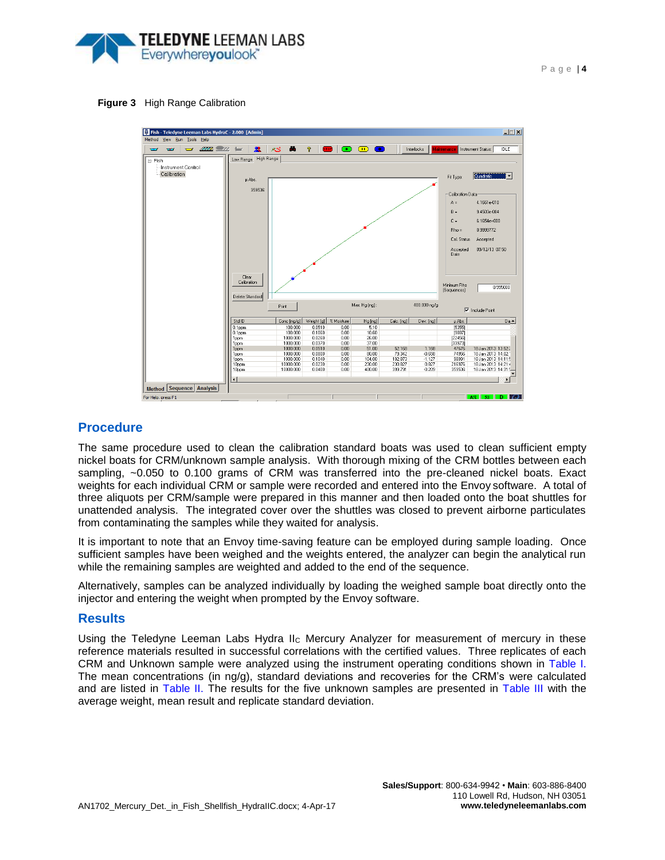

#### **Figure 3** High Range Calibration

<span id="page-3-0"></span>

### **Procedure**

The same procedure used to clean the calibration standard boats was used to clean sufficient empty nickel boats for CRM/unknown sample analysis. With thorough mixing of the CRM bottles between each sampling, ~0.050 to 0.100 grams of CRM was transferred into the pre-cleaned nickel boats. Exact weights for each individual CRM or sample were recorded and entered into the Envoy software. A total of three aliquots per CRM/sample were prepared in this manner and then loaded onto the boat shuttles for unattended analysis. The integrated cover over the shuttles was closed to prevent airborne particulates from contaminating the samples while they waited for analysis.

It is important to note that an Envoy time-saving feature can be employed during sample loading. Once sufficient samples have been weighed and the weights entered, the analyzer can begin the analytical run while the remaining samples are weighted and added to the end of the sequence.

Alternatively, samples can be analyzed individually by loading the weighed sample boat directly onto the injector and entering the weight when prompted by the Envoy software.

### **Results**

Using the Teledyne Leeman Labs Hydra II<sup>C</sup> Mercury Analyzer for measurement of mercury in these reference materials resulted in successful correlations with the certified values. Three replicates of each CRM and Unknown sample were analyzed using the instrument operating conditions shown in [Table I.](#page-2-0) The mean concentrations (in ng/g), standard deviations and recoveries for the CRM's were calculated and are listed in [Table II.](#page-4-0) The results for the five unknown samples are presented in [Table III](#page-4-1) with the average weight, mean result and replicate standard deviation.